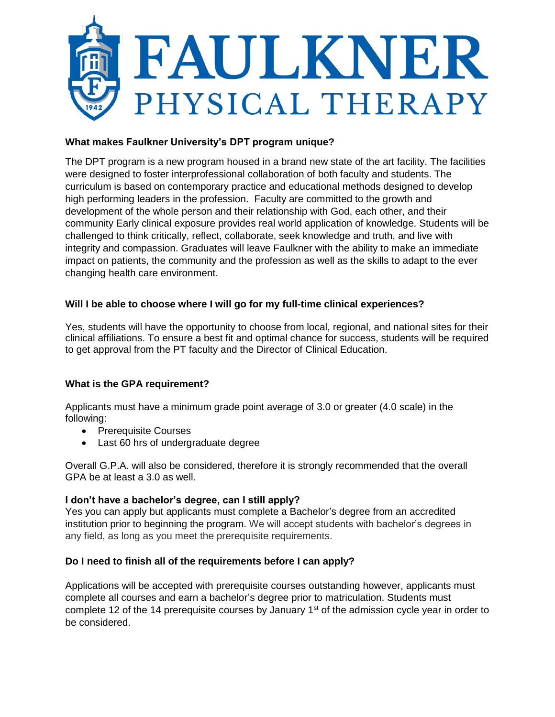

# **What makes Faulkner University's DPT program unique?**

The DPT program is a new program housed in a brand new state of the art facility. The facilities were designed to foster interprofessional collaboration of both faculty and students. The curriculum is based on contemporary practice and educational methods designed to develop high performing leaders in the profession. Faculty are committed to the growth and development of the whole person and their relationship with God, each other, and their community Early clinical exposure provides real world application of knowledge. Students will be challenged to think critically, reflect, collaborate, seek knowledge and truth, and live with integrity and compassion. Graduates will leave Faulkner with the ability to make an immediate impact on patients, the community and the profession as well as the skills to adapt to the ever changing health care environment.

# **Will I be able to choose where I will go for my full-time clinical experiences?**

Yes, students will have the opportunity to choose from local, regional, and national sites for their clinical affiliations. To ensure a best fit and optimal chance for success, students will be required to get approval from the PT faculty and the Director of Clinical Education.

# **What is the GPA requirement?**

Applicants must have a minimum grade point average of 3.0 or greater (4.0 scale) in the following:

- Prerequisite Courses
- Last 60 hrs of undergraduate degree

Overall G.P.A. will also be considered, therefore it is strongly recommended that the overall GPA be at least a 3.0 as well.

# **I don't have a bachelor's degree, can I still apply?**

Yes you can apply but applicants must complete a Bachelor's degree from an accredited institution prior to beginning the program. We will accept students with bachelor's degrees in any field, as long as you meet the prerequisite requirements.

## **Do I need to finish all of the requirements before I can apply?**

Applications will be accepted with prerequisite courses outstanding however, applicants must complete all courses and earn a bachelor's degree prior to matriculation. Students must complete 12 of the 14 prerequisite courses by January  $1<sup>st</sup>$  of the admission cycle year in order to be considered.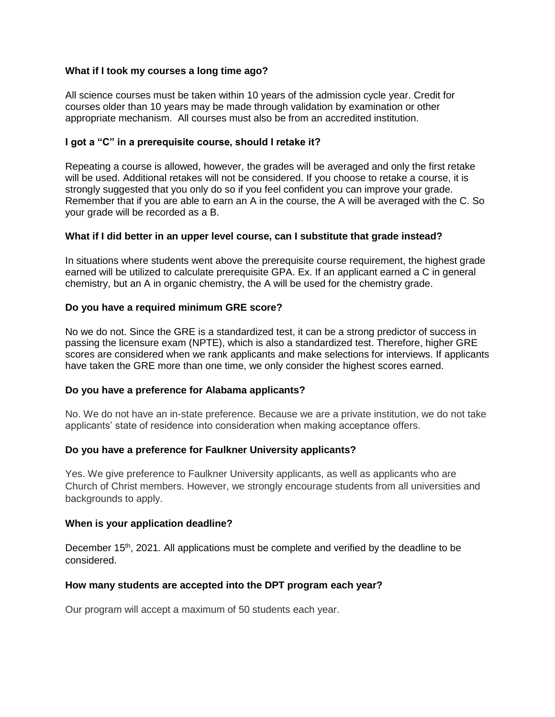### **What if I took my courses a long time ago?**

All science courses must be taken within 10 years of the admission cycle year. Credit for courses older than 10 years may be made through validation by examination or other appropriate mechanism. All courses must also be from an accredited institution.

### **I got a "C" in a prerequisite course, should I retake it?**

Repeating a course is allowed, however, the grades will be averaged and only the first retake will be used. Additional retakes will not be considered. If you choose to retake a course, it is strongly suggested that you only do so if you feel confident you can improve your grade. Remember that if you are able to earn an A in the course, the A will be averaged with the C. So your grade will be recorded as a B.

### **What if I did better in an upper level course, can I substitute that grade instead?**

In situations where students went above the prerequisite course requirement, the highest grade earned will be utilized to calculate prerequisite GPA. Ex. If an applicant earned a C in general chemistry, but an A in organic chemistry, the A will be used for the chemistry grade.

### **Do you have a required minimum GRE score?**

No we do not. Since the GRE is a standardized test, it can be a strong predictor of success in passing the licensure exam (NPTE), which is also a standardized test. Therefore, higher GRE scores are considered when we rank applicants and make selections for interviews. If applicants have taken the GRE more than one time, we only consider the highest scores earned.

#### **[Do you have a preference for Alabama applicants?](https://www.briarcliff.edu/doctor-of-physical-therapy/frequently-asked-questions/#Iowa)**

No. We do not have an in-state preference. Because we are a private institution, we do not take applicants' state of residence into consideration when making acceptance offers.

## **Do you have a preference for Faulkner University applicants?**

Yes. We give preference to Faulkner University applicants, as well as applicants who are Church of Christ members. However, we strongly encourage students from all universities and backgrounds to apply.

#### **When is your application deadline?**

December 15<sup>th</sup>, 2021. All applications must be complete and verified by the deadline to be considered.

#### **How many students are accepted into the DPT program each year?**

Our program will accept a maximum of 50 students each year.